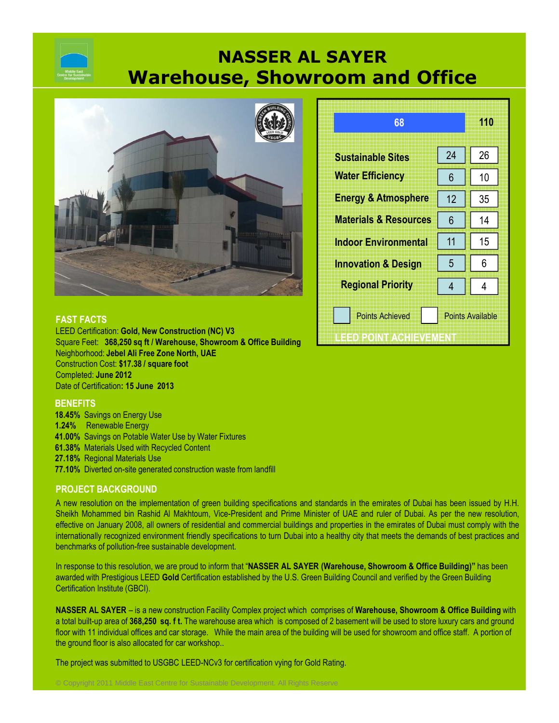# **NASSER AL SAYER Warehouse, Showroom and Office**



| 68                                                                                 |    | 110 |
|------------------------------------------------------------------------------------|----|-----|
| <b>Sustainable Sites</b>                                                           | 24 | 26  |
| <b>Water Efficiency</b>                                                            | 6  | 10  |
| <b>Energy &amp; Atmosphere</b>                                                     | 12 | 35  |
| <b>Materials &amp; Resources</b>                                                   | 6  | 14  |
| <b>Indoor Environmental</b>                                                        | 11 | 15  |
| <b>Innovation &amp; Design</b>                                                     | 5  | 6   |
| <b>Regional Priority</b>                                                           | 4  | 4   |
| <b>Points Achieved</b><br><b>Points Available</b><br>IHEIBIBZOINT PAVOHIEM/EIVIENT |    |     |

# **FAST FACTS**

LEED Certification: **Gold, New Construction (NC) V3** Square Feet: **368,250 sq ft / Warehouse, Showroom & Office Building** Neighborhood: **Jebel Ali Free Zone North, UAE** Construction Cost: **\$17.38 / square foot** Completed: **June 2012** Date of Certification**: 15 June 2013**

# **BENEFITS**

**18.45%** Savings on Energy Use **1.24%** Renewable Energy **41.00%** Savings on Potable Water Use by Water Fixtures **61.38%** Materials Used with Recycled Content **27.18%** Regional Materials Use

**77.10%** Diverted on-site generated construction waste from landfill

# **PROJECT BACKGROUND**

A new resolution on the implementation of green building specifications and standards in the emirates of Dubai has been issued by H.H. Sheikh Mohammed bin Rashid Al Makhtoum, Vice-President and Prime Minister of UAE and ruler of Dubai. As per the new resolution, effective on January 2008, all owners of residential and commercial buildings and properties in the emirates of Dubai must comply with the internationally recognized environment friendly specifications to turn Dubai into a healthy city that meets the demands of best practices and benchmarks of pollution-free sustainable development.

In response to this resolution, we are proud to inform that "**NASSER AL SAYER (Warehouse, Showroom & Office Building)"** has been awarded with Prestigious LEED **Gold** Certification established by the U.S. Green Building Council and verified by the Green Building Certification Institute (GBCI).

**NASSER AL SAYER** – is a new construction Facility Complex project which comprises of **Warehouse, Showroom & Office Building** with a total built-up area of **368,250 sq. f t.** The warehouse area which is composed of 2 basement will be used to store luxury cars and ground floor with 11 individual offices and car storage. While the main area of the building will be used for showroom and office staff. A portion of the ground floor is also allocated for car workshop..

The project was submitted to USGBC LEED-NCv3 for certification vying for Gold Rating.

© Copyright 2011 Middle East Centre for Sustainable Development. All Rights Reserve